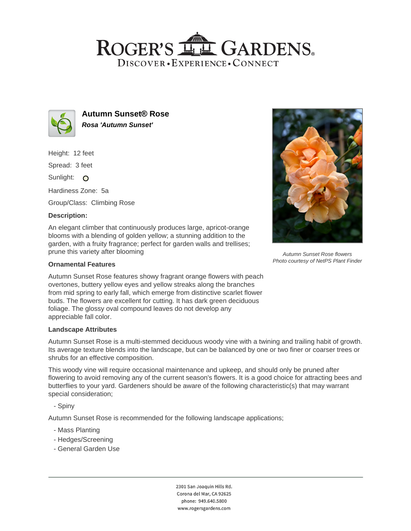# ROGER'S LL GARDENS. DISCOVER · EXPERIENCE · CONNECT



**Autumn Sunset® Rose Rosa 'Autumn Sunset'**

Height: 12 feet

Spread: 3 feet

Sunlight: O

Hardiness Zone: 5a

Group/Class: Climbing Rose

## **Description:**

An elegant climber that continuously produces large, apricot-orange blooms with a blending of golden yellow; a stunning addition to the garden, with a fruity fragrance; perfect for garden walls and trellises; prune this variety after blooming

### **Ornamental Features**

Autumn Sunset Rose features showy fragrant orange flowers with peach overtones, buttery yellow eyes and yellow streaks along the branches from mid spring to early fall, which emerge from distinctive scarlet flower buds. The flowers are excellent for cutting. It has dark green deciduous foliage. The glossy oval compound leaves do not develop any appreciable fall color.

#### **Landscape Attributes**

Autumn Sunset Rose is a multi-stemmed deciduous woody vine with a twining and trailing habit of growth. Its average texture blends into the landscape, but can be balanced by one or two finer or coarser trees or shrubs for an effective composition.

This woody vine will require occasional maintenance and upkeep, and should only be pruned after flowering to avoid removing any of the current season's flowers. It is a good choice for attracting bees and butterflies to your yard. Gardeners should be aware of the following characteristic(s) that may warrant special consideration;

- Spiny

Autumn Sunset Rose is recommended for the following landscape applications;

- Mass Planting
- Hedges/Screening
- General Garden Use



phone: 949.640.5800 www.rogersgardens.com



Autumn Sunset Rose flowers Photo courtesy of NetPS Plant Finder